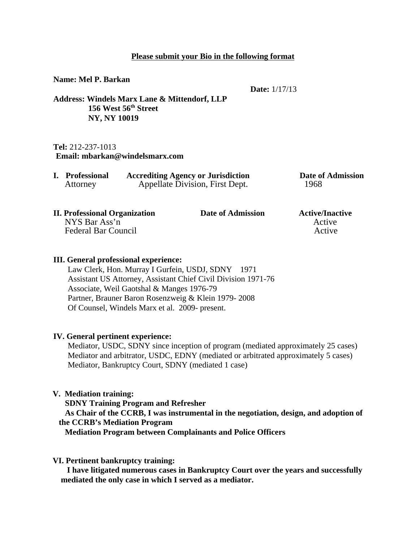#### **Please submit your Bio in the following format**

**Name: Mel P. Barkan**

**Date:** 1/17/13

**Address: Windels Marx Lane & Mittendorf, LLP 156 West 56th Street NY, NY 10019**

#### **Tel:** 212-237-1013 **Email: mbarkan@windelsmarx.com**

| I. Professional | <b>Accrediting Agency or Jurisdiction</b> | <b>Date of Admission</b> |
|-----------------|-------------------------------------------|--------------------------|
| Attorney        | Appellate Division, First Dept.           | 1968                     |

| <b>II. Professional Organization</b> | Date of Admission | <b>Active/Inactive</b> |
|--------------------------------------|-------------------|------------------------|
| NYS Bar Ass'n                        |                   | Active                 |
| <b>Federal Bar Council</b>           |                   | Active                 |
|                                      |                   |                        |

### **III. General professional experience:**

 Law Clerk, Hon. Murray I Gurfein, USDJ, SDNY 1971 Assistant US Attorney, Assistant Chief Civil Division 1971-76 Associate, Weil Gaotshal & Manges 1976-79 Partner, Brauner Baron Rosenzweig & Klein 1979- 2008 Of Counsel, Windels Marx et al. 2009- present.

## **IV. General pertinent experience:**

 Mediator, USDC, SDNY since inception of program (mediated approximately 25 cases) Mediator and arbitrator, USDC, EDNY (mediated or arbitrated approximately 5 cases) Mediator, Bankruptcy Court, SDNY (mediated 1 case)

## **V. Mediation training:**

 **SDNY Training Program and Refresher As Chair of the CCRB, I was instrumental in the negotiation, design, and adoption of the CCRB's Mediation Program** 

 **Mediation Program between Complainants and Police Officers**

# **VI. Pertinent bankruptcy training:**

 **I have litigated numerous cases in Bankruptcy Court over the years and successfully mediated the only case in which I served as a mediator.**